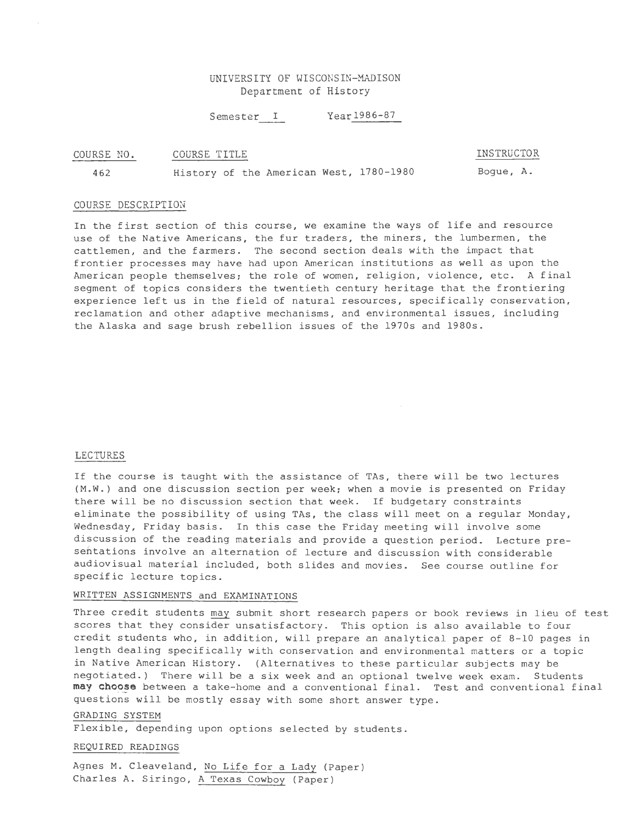# UNIVERSITY OF WISCONSIN-MADISON Department of History

Semester I Year 1986-87

#### COURSE NO. COURSE TITLE

462 History of the American West, 1780-1980 Bogue, A.

## COURSE DESCRIPTION

In the first section of this course, we examine the ways of life and resource use of the Native Americans, the fur traders, the miners, the lumbermen, the cattlemen, and the farmers. The second section deals with the impact that frontier processes may have had upon American institutions as well as upon the American people themselves; the role of women, religion, violence, etc. A final segment of topics considers the twentieth century heritage that the frontiering experience left us in the field of natural resources, specifically conservation, reclamation and other adaptive mechanisms, and environmental issues, including the Alaska and sage brush rebellion issues of the 1970s and 1980s.

### LECTURES

If the course is taught with the assistance of TAs, there will be two lectures (M.W.) and one discussion section per week; when a movie is presented on Friday there will be no discussion section that week. If budgetary constraints eliminate the possibility of using TAs, the class will meet on a regular Monday, Wednesday, Friday basis. In this case the Friday meeting will involve some discussion of the reading materials and provide a question period. Lecture presentations involve an a1ternation of lecture and discussion with considerable audiovisual material included, both slides and movies. See course outline for specific lecture topics.

# WRITTEN ASSIGNMENTS and EXAMINATIONS

Three credit students may submit short research papers or book reviews in lieu of test scores that they consider unsatisfactory. This option is also available to four credit students who, in addition, will prepare an analytical paper of 8-10 pages in length dealing specifically with conservation and environmental matters or a topic in Native American History. (Alternatives to these particular subjects may be negotiated.) There will be a six week and an optional twelve week exam. Students may choose between a take-home and a conventional final. Test and conventional final questions will be mostly essay with some short answer type.

# GRADING SYSTEM

Flexible, depending upon options selected by students.

REQUIRED READINGS

Agnes M. Cleaveland, No Life for a Lady (Paper) Charles A. Siringo, A Texas Cowboy (Paper)